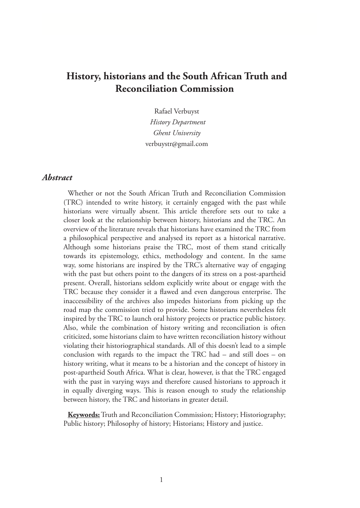# **History, historians and the South African Truth and Reconciliation Commission**

Rafael Verbuyst  *History Department Ghent University* verbuystr@gmail.com

## *Abstract*

Whether or not the South African Truth and Reconciliation Commission (TRC) intended to write history, it certainly engaged with the past while historians were virtually absent. This article therefore sets out to take a closer look at the relationship between history, historians and the TRC. An overview of the literature reveals that historians have examined the TRC from a philosophical perspective and analysed its report as a historical narrative. Although some historians praise the TRC, most of them stand critically towards its epistemology, ethics, methodology and content. In the same way, some historians are inspired by the TRC's alternative way of engaging with the past but others point to the dangers of its stress on a post-apartheid present. Overall, historians seldom explicitly write about or engage with the TRC because they consider it a flawed and even dangerous enterprise. The inaccessibility of the archives also impedes historians from picking up the road map the commission tried to provide. Some historians nevertheless felt inspired by the TRC to launch oral history projects or practice public history. Also, while the combination of history writing and reconciliation is often criticized, some historians claim to have written reconciliation history without violating their historiographical standards. All of this doesn't lead to a simple conclusion with regards to the impact the TRC had – and still does – on history writing, what it means to be a historian and the concept of history in post-apartheid South Africa. What is clear, however, is that the TRC engaged with the past in varying ways and therefore caused historians to approach it in equally diverging ways. This is reason enough to study the relationship between history, the TRC and historians in greater detail.

**Keywords:** Truth and Reconciliation Commission; History; Historiography; Public history; Philosophy of history; Historians; History and justice.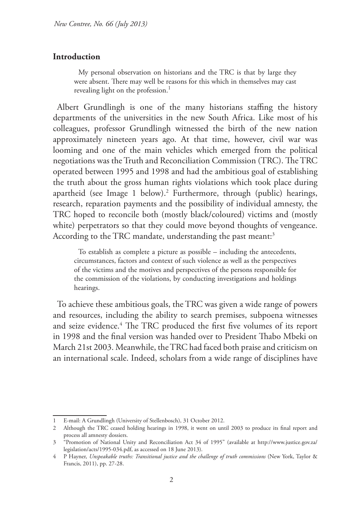#### **Introduction**

My personal observation on historians and the TRC is that by large they were absent. There may well be reasons for this which in themselves may cast revealing light on the profession.<sup>1</sup>

Albert Grundlingh is one of the many historians staffing the history departments of the universities in the new South Africa. Like most of his colleagues, professor Grundlingh witnessed the birth of the new nation approximately nineteen years ago. At that time, however, civil war was looming and one of the main vehicles which emerged from the political negotiations was the Truth and Reconciliation Commission (TRC). The TRC operated between 1995 and 1998 and had the ambitious goal of establishing the truth about the gross human rights violations which took place during apartheid (see Image 1 below).2 Furthermore, through (public) hearings, research, reparation payments and the possibility of individual amnesty, the TRC hoped to reconcile both (mostly black/coloured) victims and (mostly white) perpetrators so that they could move beyond thoughts of vengeance. According to the TRC mandate, understanding the past meant:<sup>3</sup>

To establish as complete a picture as possible – including the antecedents, circumstances, factors and context of such violence as well as the perspectives of the victims and the motives and perspectives of the persons responsible for the commission of the violations, by conducting investigations and holdings hearings.

To achieve these ambitious goals, the TRC was given a wide range of powers and resources, including the ability to search premises, subpoena witnesses and seize evidence.<sup>4</sup> The TRC produced the first five volumes of its report in 1998 and the final version was handed over to President Thabo Mbeki on March 21st 2003. Meanwhile, the TRC had faced both praise and criticism on an international scale. Indeed, scholars from a wide range of disciplines have

<sup>1</sup> E-mail: A Grundlingh (University of Stellenbosch), 31 October 2012.

<sup>2</sup> Although the TRC ceased holding hearings in 1998, it went on until 2003 to produce its final report and process all amnesty dossiers.

<sup>3</sup> "Promotion of National Unity and Reconciliation Act 34 of 1995" (available at http://www.justice.gov.za/ legislation/acts/1995-034.pdf, as accessed on 18 June 2013).

<sup>4</sup> P Hayner, *Unspeakable truths: Transitional justice and the challenge of truth commissions* (New York, Taylor & Francis, 2011), pp. 27-28.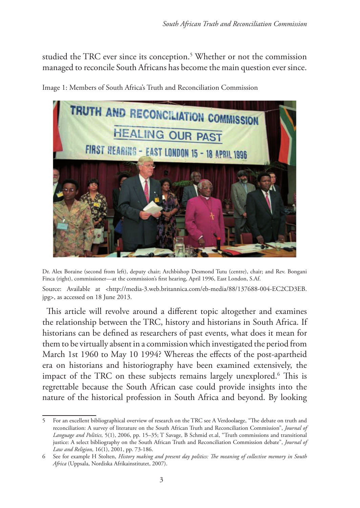studied the TRC ever since its conception.5 Whether or not the commission managed to reconcile South Africans has become the main question ever since.



Image 1: Members of South Africa's Truth and Reconciliation Commission

Dr. Alex Boraine (second from left), deputy chair; Archbishop Desmond Tutu (centre), chair; and Rev. Bongani Finca (right), commissioner—at the commission's first hearing, April 1996, East London, S.Af.

Source: Available at <http://media-3.web.britannica.com/eb-media/88/137688-004-EC2CD3EB. jpg>, as accessed on 18 June 2013.

This article will revolve around a different topic altogether and examines the relationship between the TRC, history and historians in South Africa. If historians can be defined as researchers of past events, what does it mean for them to be virtually absent in a commission which investigated the period from March 1st 1960 to May 10 1994? Whereas the effects of the post-apartheid era on historians and historiography have been examined extensively, the impact of the TRC on these subjects remains largely unexplored.6 This is regrettable because the South African case could provide insights into the nature of the historical profession in South Africa and beyond. By looking

<sup>5</sup> For an excellent bibliographical overview of research on the TRC see A Verdoolaege, "The debate on truth and reconciliation: A survey of literature on the South African Truth and Reconciliation Commission", *Journal of Language and Politics,* 5(1), 2006, pp. 15–35; T Savage, B Schmid et.al, "Truth commissions and transitional justice: A select bibliography on the South African Truth and Reconciliation Commission debate", *Journal of Law and Religion,* 16(1), 2001, pp. 73-186.

<sup>6</sup> See for example H Stolten, *History making and present day politics: The meaning of collective memory in South Africa* (Uppsala, Nordiska Afrikainstitutet, 2007).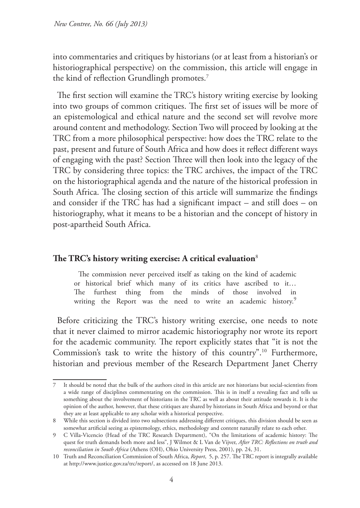into commentaries and critiques by historians (or at least from a historian's or historiographical perspective) on the commission, this article will engage in the kind of reflection Grundlingh promotes.<sup>7</sup>

The first section will examine the TRC's history writing exercise by looking into two groups of common critiques. The first set of issues will be more of an epistemological and ethical nature and the second set will revolve more around content and methodology. Section Two will proceed by looking at the TRC from a more philosophical perspective: how does the TRC relate to the past, present and future of South Africa and how does it reflect different ways of engaging with the past? Section Three will then look into the legacy of the TRC by considering three topics: the TRC archives, the impact of the TRC on the historiographical agenda and the nature of the historical profession in South Africa. The closing section of this article will summarize the findings and consider if the TRC has had a significant impact – and still does – on historiography, what it means to be a historian and the concept of history in post-apartheid South Africa.

## **The TRC's history writing exercise: A critical evaluation**<sup>8</sup>

The commission never perceived itself as taking on the kind of academic or historical brief which many of its critics have ascribed to it… The furthest thing from the minds of those involved in writing the Report was the need to write an academic history.<sup>9</sup>

Before criticizing the TRC's history writing exercise, one needs to note that it never claimed to mirror academic historiography nor wrote its report for the academic community. The report explicitly states that "it is not the Commission's task to write the history of this country".10 Furthermore, historian and previous member of the Research Department Janet Cherry

<sup>7</sup> It should be noted that the bulk of the authors cited in this article are not historians but social-scientists from a wide range of disciplines commentating on the commission. This is in itself a revealing fact and tells us something about the involvement of historians in the TRC as well as about their attitude towards it. It is the opinion of the author, however, that these critiques are shared by historians in South Africa and beyond or that they are at least applicable to any scholar with a historical perspective.

<sup>8</sup> While this section is divided into two subsections addressing different critiques, this division should be seen as somewhat artificial seeing as epistemology, ethics, methodology and content naturally relate to each other.

<sup>9</sup> C Villa-Vicencio (Head of the TRC Research Department), "On the limitations of academic history: The quest for truth demands both more and less", J Wilmot & L Van de Vijver, *After TRC: Reflections on truth and reconciliation in South Africa* (Athens (OH), Ohio University Press, 2001), pp. 24, 31.

<sup>10</sup> Truth and Reconciliation Commission of South Africa, *Report*, 5, p. 257. The TRC report is integrally available at http://www.justice.gov.za/trc/report/, as accessed on 18 June 2013.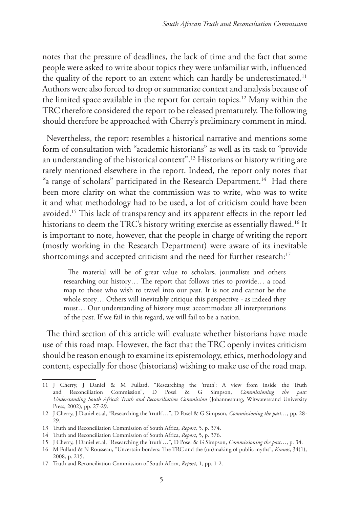notes that the pressure of deadlines, the lack of time and the fact that some people were asked to write about topics they were unfamiliar with, influenced the quality of the report to an extent which can hardly be underestimated.<sup>11</sup> Authors were also forced to drop or summarize context and analysis because of the limited space available in the report for certain topics.12 Many within the TRC therefore considered the report to be released prematurely. The following should therefore be approached with Cherry's preliminary comment in mind.

Nevertheless, the report resembles a historical narrative and mentions some form of consultation with "academic historians" as well as its task to "provide an understanding of the historical context".13 Historians or history writing are rarely mentioned elsewhere in the report. Indeed, the report only notes that "a range of scholars" participated in the Research Department.<sup>14</sup> Had there been more clarity on what the commission was to write, who was to write it and what methodology had to be used, a lot of criticism could have been avoided.15 This lack of transparency and its apparent effects in the report led historians to deem the TRC's history writing exercise as essentially flawed.<sup>16</sup> It is important to note, however, that the people in charge of writing the report (mostly working in the Research Department) were aware of its inevitable shortcomings and accepted criticism and the need for further research:<sup>17</sup>

The material will be of great value to scholars, journalists and others researching our history… The report that follows tries to provide… a road map to those who wish to travel into our past. It is not and cannot be the whole story… Others will inevitably critique this perspective - as indeed they must… Our understanding of history must accommodate all interpretations of the past. If we fail in this regard, we will fail to be a nation.

The third section of this article will evaluate whether historians have made use of this road map. However, the fact that the TRC openly invites criticism should be reason enough to examine its epistemology, ethics, methodology and content, especially for those (historians) wishing to make use of the road map.

<sup>11</sup> J Cherry, J Daniel & M Fullard, "Researching the 'truth': A view from inside the Truth and Reconciliation Commission", D Posel & G Simpson, *Commissioning the past: Understanding South Africa's Truth and Reconciliation Commission* (Johannesburg, Witwatersrand University Press, 2002), pp. 27-29.

<sup>12</sup> J Cherry, J Daniel et.al, "Researching the 'truth'…", D Posel & G Simpson, *Commissioning the past…,* pp. 28-  $29.$ 

<sup>13</sup> Truth and Reconciliation Commission of South Africa*, Report,* 5*,* p. 374.

<sup>14</sup> Truth and Reconciliation Commission of South Africa, *Report*, 5, p. 376.

<sup>15</sup> J Cherry, J Daniel et.al, "Researching the 'truth'…", D Posel & G Simpson, *Commissioning the past*…, p. 34.

<sup>16</sup> M Fullard & N Rousseau, "Uncertain borders: The TRC and the (un)making of public myths", *Kronos*, 34(1), 2008, p. 215.

<sup>17</sup> Truth and Reconciliation Commission of South Africa, *Report*, 1, pp. 1-2.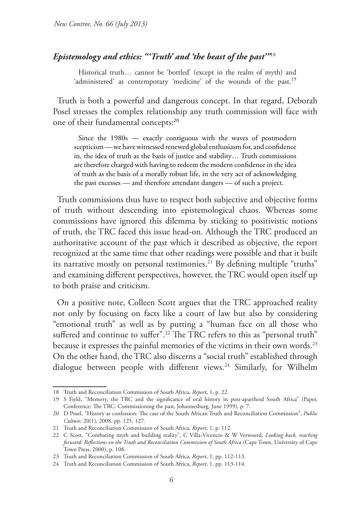## *Epistemology and ethics: "'Truth' and 'the beast of the past'"*<sup>18</sup>

Historical truth… cannot be 'bottled' (except in the realm of myth) and 'administered' as contemporary 'medicine' of the wounds of the past.<sup>19</sup>

Truth is both a powerful and dangerous concept. In that regard, Deborah Posel stresses the complex relationship any truth commission will face with one of their fundamental concepts:<sup>20</sup>

Since the 1980s — exactly contiguous with the waves of postmodern scepticism — we have witnessed renewed global enthusiasm for, and confidence in, the idea of truth as the basis of justice and stability… Truth commissions are therefore charged with having to redeem the modern confidence in the idea of truth as the basis of a morally robust life, in the very act of acknowledging the past excesses — and therefore attendant dangers — of such a project.

Truth commissions thus have to respect both subjective and objective forms of truth without descending into epistemological chaos. Whereas some commissions have ignored this dilemma by sticking to positivistic notions of truth, the TRC faced this issue head-on. Although the TRC produced an authoritative account of the past which it described as objective, the report recognized at the same time that other readings were possible and that it built its narrative mostly on personal testimonies.<sup>21</sup> By defining multiple "truths" and examining different perspectives, however, the TRC would open itself up to both praise and criticism.

On a positive note, Colleen Scott argues that the TRC approached reality not only by focusing on facts like a court of law but also by considering "emotional truth" as well as by putting a "human face on all those who suffered and continue to suffer".<sup>22</sup> The TRC refers to this as "personal truth" because it expresses the painful memories of the victims in their own words.<sup>23</sup> On the other hand, the TRC also discerns a "social truth" established through dialogue between people with different views.<sup>24</sup> Similarly, for Wilhelm

<sup>18</sup> Truth and Reconciliation Commission of South Africa, *Report*, 1, p. 22.

<sup>19</sup> S Field, "Memory, the TRC and the significance of oral history in post-apartheid South Africa" (Paper, Conference: The TRC: Commissioning the past, Johannesburg, June 1999), p. 7.

<sup>20</sup> D Posel, "History as confession: The case of the South African Truth and Reconciliation Commission", *Public Culture,* 20(1), 2008, pp. 125, 127.

<sup>21</sup> Truth and Reconciliation Commission of South Africa, *Report*, 1, p. 112.

<sup>22</sup> C Scott, "Combating myth and building reality", C Villa-Vicencio & W Verwoerd, *Looking back, reaching forward: Reflections on the Truth and Reconciliation Commission of South Africa* (Cape Town, University of Cape Town Press, 2000), p. 108.

<sup>23</sup> Truth and Reconciliation Commission of South Africa, *Report*, 1, pp. 112-113.

<sup>24</sup> Truth and Reconciliation Commission of South Africa, *Report*, 1, pp. 113-114.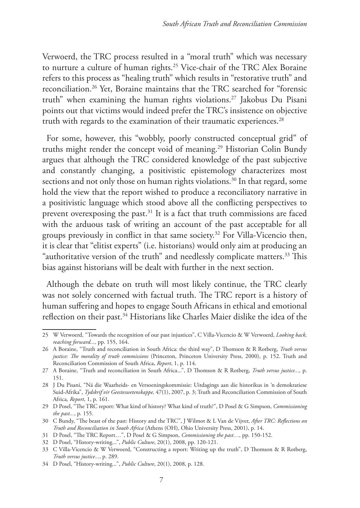Verwoerd, the TRC process resulted in a "moral truth" which was necessary to nurture a culture of human rights.<sup>25</sup> Vice-chair of the TRC Alex Boraine refers to this process as "healing truth" which results in "restorative truth" and reconciliation.26 Yet, Boraine maintains that the TRC searched for "forensic truth" when examining the human rights violations.27 Jakobus Du Pisani points out that victims would indeed prefer the TRC's insistence on objective truth with regards to the examination of their traumatic experiences.<sup>28</sup>

For some, however, this "wobbly, poorly constructed conceptual grid" of truths might render the concept void of meaning.<sup>29</sup> Historian Colin Bundy argues that although the TRC considered knowledge of the past subjective and constantly changing, a positivistic epistemology characterizes most sections and not only those on human rights violations.<sup>30</sup> In that regard, some hold the view that the report wished to produce a reconciliatory narrative in a positivistic language which stood above all the conflicting perspectives to prevent overexposing the past. $31$  It is a fact that truth commissions are faced with the arduous task of writing an account of the past acceptable for all groups previously in conflict in that same society.32 For Villa-Vicencio then, it is clear that "elitist experts" (i.e. historians) would only aim at producing an "authoritative version of the truth" and needlessly complicate matters.<sup>33</sup> This bias against historians will be dealt with further in the next section.

Although the debate on truth will most likely continue, the TRC clearly was not solely concerned with factual truth. The TRC report is a history of human suffering and hopes to engage South Africans in ethical and emotional reflection on their past.34 Historians like Charles Maier dislike the idea of the

<sup>25</sup> W Verwoerd, "Towards the recognition of our past injustices", C Villa-Vicencio & W Verwoerd, *Looking back, reaching forward...,* pp. 155, 164.

<sup>26</sup> A Boraine, "Truth and reconciliation in South Africa: the third way", D Thomson & R Rotberg, *Truth versus justice: The morality of truth commissions* (Princeton, Princeton University Press, 2000), p. 152. Truth and Reconciliation Commission of South Africa, *Report*, 1, p. 114.

<sup>27</sup> A Boraine, "Truth and reconciliation in South Africa...", D Thomson & R Rotberg, *Truth versus justice...,* p. 151.

<sup>28</sup> J Du Pisani, "Ná die Waarheids- en Versoeningskommissie: Uitdagings aan die historikus in 'n demokratiese Suid-Afrika", *Tydskrif vir Geesteswetenskappe,* 47(1), 2007, p. 3; Truth and Reconciliation Commission of South Africa, *Report*, 1, p. 161.

<sup>29</sup> D Posel, "The TRC report: What kind of history? What kind of truth?", D Posel & G Simpson, *Commissioning the past...*, p. 155.

<sup>30</sup> C Bundy, "The beast of the past: History and the TRC", J Wilmot & L Van de Vijver, *After TRC: Reflections on Truth and Reconciliation in South Africa* (Athens (OH), Ohio University Press, 2001), p. 14.

<sup>31</sup> D Posel, "The TRC Report…", D Posel & G Simpson, *Commissioning the past…,* pp. 150-152.

<sup>32</sup> D Posel, "History-writing...", *Public Culture*, 20(1), 2008, pp. 120-121.

<sup>33</sup> C Villa-Vicencio & W Verwoerd, "Constructing a report: Writing up the truth", D Thomson & R Rotberg, *Truth versus justice...*, p. 289.

<sup>34</sup> D Posel, "History-writing...", *Public Culture*, 20(1), 2008, p. 128.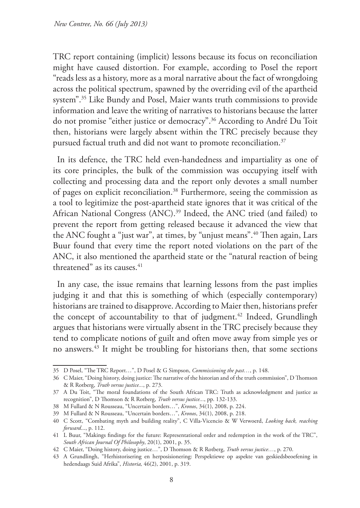TRC report containing (implicit) lessons because its focus on reconciliation might have caused distortion. For example, according to Posel the report "reads less as a history, more as a moral narrative about the fact of wrongdoing across the political spectrum, spawned by the overriding evil of the apartheid system".35 Like Bundy and Posel, Maier wants truth commissions to provide information and leave the writing of narratives to historians because the latter do not promise "either justice or democracy".36 According to André Du Toit then, historians were largely absent within the TRC precisely because they pursued factual truth and did not want to promote reconciliation.<sup>37</sup>

In its defence, the TRC held even-handedness and impartiality as one of its core principles, the bulk of the commission was occupying itself with collecting and processing data and the report only devotes a small number of pages on explicit reconciliation.38 Furthermore, seeing the commission as a tool to legitimize the post-apartheid state ignores that it was critical of the African National Congress (ANC).<sup>39</sup> Indeed, the ANC tried (and failed) to prevent the report from getting released because it advanced the view that the ANC fought a "just war", at times, by "unjust means".<sup>40</sup> Then again, Lars Buur found that every time the report noted violations on the part of the ANC, it also mentioned the apartheid state or the "natural reaction of being threatened" as its causes. $41$ 

In any case, the issue remains that learning lessons from the past implies judging it and that this is something of which (especially contemporary) historians are trained to disapprove. According to Maier then, historians prefer the concept of accountability to that of judgment.<sup>42</sup> Indeed, Grundlingh argues that historians were virtually absent in the TRC precisely because they tend to complicate notions of guilt and often move away from simple yes or no answers.43 It might be troubling for historians then, that some sections

<sup>35</sup> D Posel, "The TRC Report…", D Posel & G Simpson, *Commissioning the past…*, p. 148.

<sup>36</sup> C Maier, "Doing history, doing justice: The narrative of the historian and of the truth commission", D Thomson & R Rotberg, *Truth versus justice...*, p. 273.

<sup>37</sup> A Du Toit, "The moral foundations of the South African TRC: Truth as acknowledgment and justice as recognition", D Thomson & R Rotberg, *Truth versus justice...*, pp. 132-133.

<sup>38</sup> M Fullard & N Rousseau, "Uncertain borders…", *Kronos*, 34(1), 2008, p. 224.

<sup>39</sup> M Fullard & N Rousseau, "Uncertain borders…", *Kronos*, 34(1), 2008, p. 218.

<sup>40</sup> C Scott, "Combating myth and building reality", C Villa-Vicencio & W Verwoerd, *Looking back, reaching forward*..., p. 112.

<sup>41</sup> L Buur, "Makings findings for the future: Representational order and redemption in the work of the TRC", *South African Journal Of Philosophy*, 20(1), 2001, p. 35.

<sup>42</sup> C Maier, "Doing history, doing justice…", D Thomson & R Rotberg, *Truth versus justice…*, p. 270.

<sup>43</sup> A Grundlingh, "Herhistorisering en herposisionering: Perspektiewe op aspekte van geskiedsbeoefening in hedendaags Suid Afrika", *Historia,* 46(2), 2001, p. 319.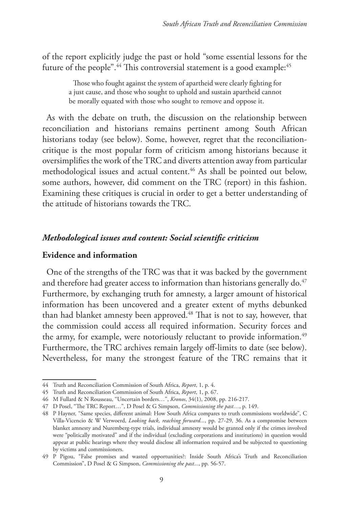of the report explicitly judge the past or hold "some essential lessons for the future of the people".<sup>44</sup> This controversial statement is a good example:<sup>45</sup>

> Those who fought against the system of apartheid were clearly fighting for a just cause, and those who sought to uphold and sustain apartheid cannot be morally equated with those who sought to remove and oppose it.

As with the debate on truth, the discussion on the relationship between reconciliation and historians remains pertinent among South African historians today (see below). Some, however, regret that the reconciliationcritique is the most popular form of criticism among historians because it oversimplifies the work of the TRC and diverts attention away from particular methodological issues and actual content.46 As shall be pointed out below, some authors, however, did comment on the TRC (report) in this fashion. Examining these critiques is crucial in order to get a better understanding of the attitude of historians towards the TRC.

## *Methodological issues and content: Social scientific criticism*

## **Evidence and information**

One of the strengths of the TRC was that it was backed by the government and therefore had greater access to information than historians generally do.<sup>47</sup> Furthermore, by exchanging truth for amnesty, a larger amount of historical information has been uncovered and a greater extent of myths debunked than had blanket amnesty been approved.<sup>48</sup> That is not to say, however, that the commission could access all required information. Security forces and the army, for example, were notoriously reluctant to provide information.<sup>49</sup> Furthermore, the TRC archives remain largely off-limits to date (see below). Nevertheless, for many the strongest feature of the TRC remains that it

<sup>44</sup> Truth and Reconciliation Commission of South Africa, *Report*, 1, p. 4.

<sup>45</sup> Truth and Reconciliation Commission of South Africa, *Report*, 1, p. 67.

<sup>46</sup> M Fullard & N Rousseau, "Uncertain borders…", *Kronos*, 34(1), 2008, pp. 216-217.

<sup>47</sup> D Posel, "The TRC Report…", D Posel & G Simpson, *Commissioning the past…*, p. 149.

<sup>48</sup> P Hayner, "Same species, different animal: How South Africa compares to truth commissions worldwide", C Villa-Vicencio & W Verwoerd, *Looking back, reaching forward...*, pp. 27-29, 36. As a compromise between blanket amnesty and Nuremberg-type trials, individual amnesty would be granted only if the crimes involved were "politically motivated" and if the individual (excluding corporations and institutions) in question would appear at public hearings where they would disclose all information required and be subjected to questioning by victims and commissioners.

<sup>49</sup> P Pigou, "False promises and wasted opportunities?: Inside South Africa's Truth and Reconciliation Commission", D Posel & G Simpson, *Commissioning the past...*, pp. 56-57.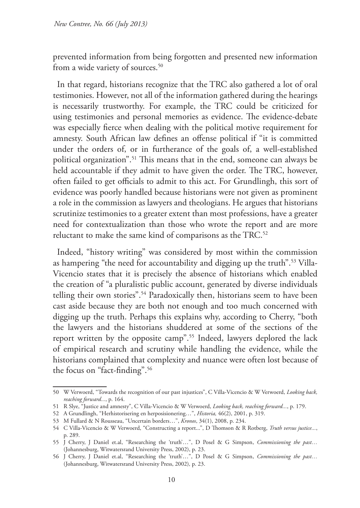prevented information from being forgotten and presented new information from a wide variety of sources.<sup>50</sup>

In that regard, historians recognize that the TRC also gathered a lot of oral testimonies. However, not all of the information gathered during the hearings is necessarily trustworthy. For example, the TRC could be criticized for using testimonies and personal memories as evidence. The evidence-debate was especially fierce when dealing with the political motive requirement for amnesty. South African law defines an offense political if "it is committed under the orders of, or in furtherance of the goals of, a well-established political organization".51 This means that in the end, someone can always be held accountable if they admit to have given the order. The TRC, however, often failed to get officials to admit to this act. For Grundlingh, this sort of evidence was poorly handled because historians were not given as prominent a role in the commission as lawyers and theologians. He argues that historians scrutinize testimonies to a greater extent than most professions, have a greater need for contextualization than those who wrote the report and are more reluctant to make the same kind of comparisons as the TRC.<sup>52</sup>

Indeed, "history writing" was considered by most within the commission as hampering "the need for accountability and digging up the truth".53 Villa-Vicencio states that it is precisely the absence of historians which enabled the creation of "a pluralistic public account, generated by diverse individuals telling their own stories".54 Paradoxically then, historians seem to have been cast aside because they are both not enough and too much concerned with digging up the truth. Perhaps this explains why, according to Cherry, "both the lawyers and the historians shuddered at some of the sections of the report written by the opposite camp".55 Indeed, lawyers deplored the lack of empirical research and scrutiny while handling the evidence, while the historians complained that complexity and nuance were often lost because of the focus on "fact-finding".56

<sup>50</sup> W Verwoerd, "Towards the recognition of our past injustices", C Villa-Vicencio & W Verwoerd, *Looking back, reaching forward...*, p. 164.

<sup>51</sup> R Slye, "Justice and amnesty", C Villa-Vicencio & W Verwoerd, *Looking back, reaching forward...*, p. 179.

<sup>52</sup> A Grundlingh, "Herhistorisering en herposisionering…", *Historia,* 46(2), 2001, p. 319.

<sup>53</sup> M Fullard & N Rousseau, "Uncertain borders…", *Kronos*, 34(1), 2008, p. 234.

<sup>54</sup> C Villa-Vicencio & W Verwoerd, "Constructing a report...", D Thomson & R Rotberg, *Truth versus justice...*, p. 289.

<sup>55</sup> J Cherry, J Daniel et.al, "Researching the 'truth'…", D Posel & G Simpson, *Commissioning the past…*  (Johannesburg, Witwatersrand University Press, 2002), p. 23.

<sup>56</sup> J Cherry, J Daniel et.al, "Researching the 'truth'…", D Posel & G Simpson, *Commissioning the past…*  (Johannesburg, Witwatersrand University Press, 2002)*,* p. 23.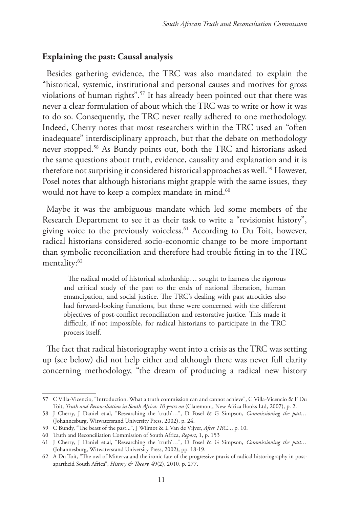## **Explaining the past: Causal analysis**

Besides gathering evidence, the TRC was also mandated to explain the "historical, systemic, institutional and personal causes and motives for gross violations of human rights".57 It has already been pointed out that there was never a clear formulation of about which the TRC was to write or how it was to do so. Consequently, the TRC never really adhered to one methodology. Indeed, Cherry notes that most researchers within the TRC used an "often inadequate" interdisciplinary approach, but that the debate on methodology never stopped.58 As Bundy points out, both the TRC and historians asked the same questions about truth, evidence, causality and explanation and it is therefore not surprising it considered historical approaches as well.<sup>59</sup> However, Posel notes that although historians might grapple with the same issues, they would not have to keep a complex mandate in mind.<sup>60</sup>

Maybe it was the ambiguous mandate which led some members of the Research Department to see it as their task to write a "revisionist history", giving voice to the previously voiceless.<sup>61</sup> According to Du Toit, however, radical historians considered socio-economic change to be more important than symbolic reconciliation and therefore had trouble fitting in to the TRC mentality:<sup>62</sup>

The radical model of historical scholarship… sought to harness the rigorous and critical study of the past to the ends of national liberation, human emancipation, and social justice. The TRC's dealing with past atrocities also had forward-looking functions, but these were concerned with the different objectives of post-conflict reconciliation and restorative justice. This made it difficult, if not impossible, for radical historians to participate in the TRC process itself.

The fact that radical historiography went into a crisis as the TRC was setting up (see below) did not help either and although there was never full clarity concerning methodology, "the dream of producing a radical new history

<sup>57</sup> C Villa-Vicencio, "Introduction. What a truth commission can and cannot achieve", C Villa-Vicencio & F Du Toit, *Truth and Reconciliation in South Africa: 10 years on* (Claremont, New Africa Books Ltd, 2007), p. 2.

<sup>58</sup> J Cherry, J Daniel et.al, "Researching the 'truth'…", D Posel & G Simpson, *Commissioning the past…*  (Johannesburg, Witwatersrand University Press, 2002), p. 24.

<sup>59</sup> C Bundy, "The beast of the past...", J Wilmot & L Van de Vijver, *After TRC...*, p. 10.

<sup>60</sup> Truth and Reconciliation Commission of South Africa, *Report*, 1, p. 153

<sup>61</sup> J Cherry, J Daniel et.al, "Researching the 'truth'…", D Posel & G Simpson, *Commissioning the past…*  (Johannesburg, Witwatersrand University Press, 2002), pp. 18-19.

<sup>62</sup> A Du Toit, "The owl of Minerva and the ironic fate of the progressive praxis of radical historiography in postapartheid South Africa", *History & Theory,* 49(2), 2010, p. 277.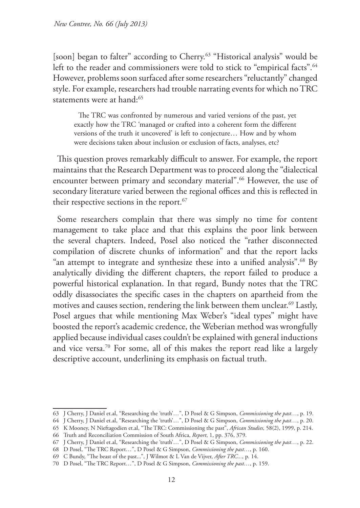[soon] began to falter" according to Cherry.<sup>63</sup> "Historical analysis" would be left to the reader and commissioners were told to stick to "empirical facts".<sup>64</sup> However, problems soon surfaced after some researchers "reluctantly" changed style. For example, researchers had trouble narrating events for which no TRC statements were at hand:<sup>65</sup>

The TRC was confronted by numerous and varied versions of the past, yet exactly how the TRC 'managed or crafted into a coherent form the different versions of the truth it uncovered' is left to conjecture… How and by whom were decisions taken about inclusion or exclusion of facts, analyses, etc?

This question proves remarkably difficult to answer. For example, the report maintains that the Research Department was to proceed along the "dialectical encounter between primary and secondary material".66 However, the use of secondary literature varied between the regional offices and this is reflected in their respective sections in the report.<sup>67</sup>

Some researchers complain that there was simply no time for content management to take place and that this explains the poor link between the several chapters. Indeed, Posel also noticed the "rather disconnected compilation of discrete chunks of information" and that the report lacks "an attempt to integrate and synthesize these into a unified analysis".68 By analytically dividing the different chapters, the report failed to produce a powerful historical explanation. In that regard, Bundy notes that the TRC oddly disassociates the specific cases in the chapters on apartheid from the motives and causes section, rendering the link between them unclear.<sup>69</sup> Lastly, Posel argues that while mentioning Max Weber's "ideal types" might have boosted the report's academic credence, the Weberian method was wrongfully applied because individual cases couldn't be explained with general inductions and vice versa.70 For some, all of this makes the report read like a largely descriptive account, underlining its emphasis on factual truth.

<sup>63</sup> J Cherry, J Daniel et.al, "Researching the 'truth'…", D Posel & G Simpson, *Commissioning the past…*, p. 19.

<sup>64</sup> J Cherry, J Daniel et.al, "Researching the 'truth'…", D Posel & G Simpson, *Commissioning the past…*, p. 20.

<sup>65</sup> K Mooney, N Nieftagodien et.al, "The TRC: Commissioning the past", *African Studies,* 58(2), 1999, p. 214.

<sup>66</sup> Truth and Reconciliation Commission of South Africa, *Report*, 1, pp. 376, 379.

<sup>67</sup> J Cherry, J Daniel et.al, "Researching the 'truth'…", D Posel & G Simpson, *Commissioning the past…*, p. 22.

<sup>68</sup> D Posel, "The TRC Report…", D Posel & G Simpson, *Commissioning the past…*, p. 160.

<sup>69</sup> C Bundy, "The beast of the past...", J Wilmot & L Van de Vijver, *After TRC...*, p. 14.

<sup>70</sup> D Posel, "The TRC Report…", D Posel & G Simpson, *Commissioning the past…*, p. 159.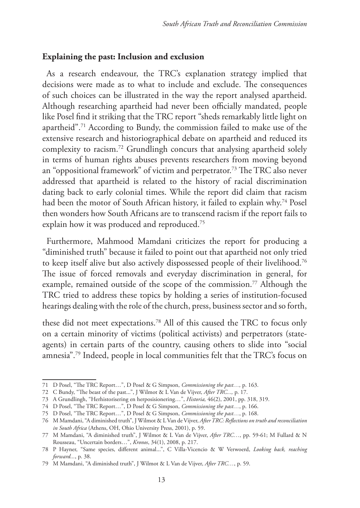# **Explaining the past: Inclusion and exclusion**

As a research endeavour, the TRC's explanation strategy implied that decisions were made as to what to include and exclude. The consequences of such choices can be illustrated in the way the report analysed apartheid. Although researching apartheid had never been officially mandated, people like Posel find it striking that the TRC report "sheds remarkably little light on apartheid".71 According to Bundy, the commission failed to make use of the extensive research and historiographical debate on apartheid and reduced its complexity to racism.72 Grundlingh concurs that analysing apartheid solely in terms of human rights abuses prevents researchers from moving beyond an "oppositional framework" of victim and perpetrator.73 The TRC also never addressed that apartheid is related to the history of racial discrimination dating back to early colonial times. While the report did claim that racism had been the motor of South African history, it failed to explain why.<sup>74</sup> Posel then wonders how South Africans are to transcend racism if the report fails to explain how it was produced and reproduced.<sup>75</sup>

Furthermore, Mahmood Mamdani criticizes the report for producing a "diminished truth" because it failed to point out that apartheid not only tried to keep itself alive but also actively dispossessed people of their livelihood.76 The issue of forced removals and everyday discrimination in general, for example, remained outside of the scope of the commission.<sup>77</sup> Although the TRC tried to address these topics by holding a series of institution-focused hearings dealing with the role of the church, press, business sector and so forth,

these did not meet expectations.78 All of this caused the TRC to focus only on a certain minority of victims (political activists) and perpetrators (stateagents) in certain parts of the country, causing others to slide into "social amnesia".79 Indeed, people in local communities felt that the TRC's focus on

<sup>71</sup> D Posel, "The TRC Report…", D Posel & G Simpson, *Commissioning the past…,* p. 163.

<sup>72</sup> C Bundy, "The beast of the past...", J Wilmot & L Van de Vijver, *After TRC...,* p. 17.

<sup>73</sup> A Grundlingh, "Herhistorisering en herposisionering…", *Historia,* 46(2), 2001, pp. 318, 319.

<sup>74</sup> D Posel, "The TRC Report…", D Posel & G Simpson, *Commissioning the past…*, p. 166.

<sup>75</sup> D Posel, "The TRC Report…", D Posel & G Simpson, *Commissioning the past…*, p. 168.

<sup>76</sup> M Mamdani, "A diminished truth", J Wilmot & L Van de Vijver, *After TRC: Reflections on truth and reconciliation in South Africa* (Athens, OH, Ohio University Press, 2001), p. 59.

<sup>77</sup> M Mamdani, "A diminished truth", J Wilmot & L Van de Vijver, *After TRC…*, pp. 59-61; M Fullard & N Rousseau, "Uncertain borders…", *Kronos*, 34(1), 2008, p. 217.

<sup>78</sup> P Hayner, "Same species, different animal...", C Villa-Vicencio & W Verwoerd, *Looking back, reaching forward...*, p. 38.

<sup>79</sup> M Mamdani, "A diminished truth", J Wilmot & L Van de Vijver, *After TRC…*, p. 59.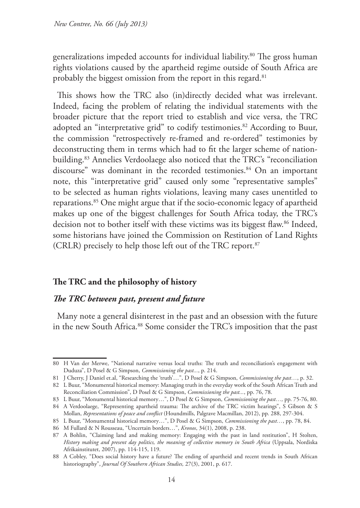generalizations impeded accounts for individual liability.<sup>80</sup> The gross human rights violations caused by the apartheid regime outside of South Africa are probably the biggest omission from the report in this regard.<sup>81</sup>

This shows how the TRC also (in)directly decided what was irrelevant. Indeed, facing the problem of relating the individual statements with the broader picture that the report tried to establish and vice versa, the TRC adopted an "interpretative grid" to codify testimonies.<sup>82</sup> According to Buur, the commission "retrospectively re-framed and re-ordered" testimonies by deconstructing them in terms which had to fit the larger scheme of nationbuilding.83 Annelies Verdoolaege also noticed that the TRC's "reconciliation discourse" was dominant in the recorded testimonies.<sup>84</sup> On an important note, this "interpretative grid" caused only some "representative samples" to be selected as human rights violations, leaving many cases unentitled to reparations.85 One might argue that if the socio-economic legacy of apartheid makes up one of the biggest challenges for South Africa today, the TRC's decision not to bother itself with these victims was its biggest flaw.<sup>86</sup> Indeed, some historians have joined the Commission on Restitution of Land Rights (CRLR) precisely to help those left out of the TRC report.<sup>87</sup>

## **The TRC and the philosophy of history**

## *The TRC between past, present and future*

Many note a general disinterest in the past and an obsession with the future in the new South Africa.<sup>88</sup> Some consider the TRC's imposition that the past

<sup>80</sup> H Van der Merwe, "National narrative versus local truths: The truth and reconciliation's engagement with Duduza", D Posel & G Simpson, *Commissioning the past...*, p. 214.

<sup>81</sup> J Cherry, J Daniel et.al, "Researching the 'truth'…", D Posel & G Simpson, *Commissioning the past…*, p. 32.

<sup>82</sup> L Buur, "Monumental historical memory: Managing truth in the everyday work of the South African Truth and Reconciliation Commission", D Posel & G Simpson, *Commissioning the past...*, pp. 76, 78.

<sup>83</sup> L Buur, "Monumental historical memory…", D Posel & G Simpson, *Commissioning the past…,* pp. 75-76, 80. 84 A Verdoolaege, "Representing apartheid trauma: The archive of the TRC victim hearings", S Gibson & S

Mollan, *Representations of peace and conflict* (Houndmills, Palgrave Macmillan, 2012), pp. 288, 297-304.

<sup>85</sup> L Buur, "Monumental historical memory…", D Posel & G Simpson, *Commissioning the past…*, pp. 78, 84.

<sup>86</sup> M Fullard & N Rousseau, "Uncertain borders…", *Kronos*, 34(1), 2008, p. 238.

<sup>87</sup> A Bohlin, "Claiming land and making memory: Engaging with the past in land restitution", H Stolten, *History making and present day politics, the meaning of collective memory in South Africa* (Uppsala, Nordiska Afrikainstitutet, 2007), pp. 114-115, 119.

<sup>88</sup> A Cobley, "Does social history have a future? The ending of apartheid and recent trends in South African historiography", *Journal Of Southern African Studies,* 27(3), 2001, p. 617.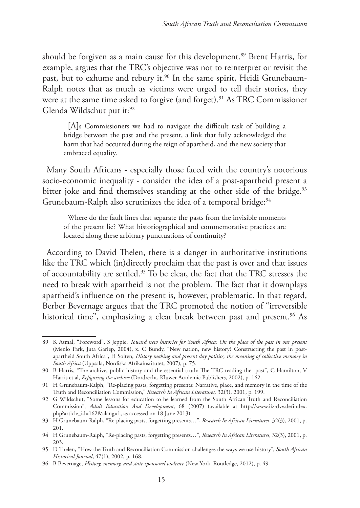should be forgiven as a main cause for this development.<sup>89</sup> Brent Harris, for example, argues that the TRC's objective was not to reinterpret or revisit the past, but to exhume and rebury it.<sup>90</sup> In the same spirit, Heidi Grunebaum-Ralph notes that as much as victims were urged to tell their stories, they were at the same time asked to forgive (and forget).<sup>91</sup> As TRC Commissioner Glenda Wildschut put it:<sup>92</sup>

[A]s Commissioners we had to navigate the difficult task of building a bridge between the past and the present, a link that fully acknowledged the harm that had occurred during the reign of apartheid, and the new society that embraced equality.

Many South Africans - especially those faced with the country's notorious socio-economic inequality - consider the idea of a post-apartheid present a bitter joke and find themselves standing at the other side of the bridge.<sup>93</sup> Grunebaum-Ralph also scrutinizes the idea of a temporal bridge:<sup>94</sup>

Where do the fault lines that separate the pasts from the invisible moments of the present lie? What historiographical and commemorative practices are located along these arbitrary punctuations of continuity?

According to David Thelen, there is a danger in authoritative institutions like the TRC which (in)directly proclaim that the past is over and that issues of accountability are settled.95 To be clear, the fact that the TRC stresses the need to break with apartheid is not the problem. The fact that it downplays apartheid's influence on the present is, however, problematic. In that regard, Berber Bevernage argues that the TRC promoted the notion of "irreversible historical time", emphasizing a clear break between past and present.<sup>96</sup> As

<sup>89</sup> K Asmal, "Foreword", S Jeppie, *Toward new histories for South Africa: On the place of the past in our present* (Menlo Park, Juta Gariep, 2004), x. C Bundy, "New nation, new history? Constructing the past in postapartheid South Africa", H Solten, *History making and present day politics, the meaning of collective memory in South Africa* (Uppsala, Nordiska Afrikainstitutet, 2007), p. 75.

<sup>90</sup> B Harris, "The archive, public history and the essential truth: The TRC reading the past", C Hamilton, V Harris et.al, *Refiguring the archive* (Dordrecht, Kluwer Academic Publishers, 2002), p. 162.

<sup>91</sup> H Grunebaum-Ralph, "Re-placing pasts, forgetting presents: Narrative, place, and memory in the time of the Truth and Reconciliation Commission," *Research In African Literatures,* 32(3), 2001, p. 199.

<sup>92</sup> G Wildschut, "Some lessons for education to be learned from the South African Truth and Reconciliation Commission", *Adult Education And Development*, 68 (2007) (available at http://www.iiz-dvv.de/index. php?article\_id=162&clang=1, as accessed on 18 June 2013).

<sup>93</sup> H Grunebaum-Ralph, "Re-placing pasts, forgetting presents…", *Research In African Literatures*, 32(3), 2001, p. 201.

<sup>94</sup> H Grunebaum-Ralph, "Re-placing pasts, forgetting presents…", *Research In African Literatures*, 32(3), 2001, p. 203.

<sup>95</sup> D Thelen, "How the Truth and Reconciliation Commission challenges the ways we use history", *South African Historical Journal*, 47(1), 2002, p. 168.

<sup>96</sup> B Bevernage, *History, memory, and state-sponsored violence* (New York, Routledge, 2012), p. 49.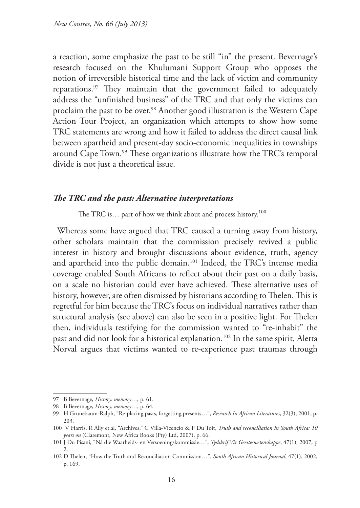a reaction, some emphasize the past to be still "in" the present. Bevernage's research focused on the Khulumani Support Group who opposes the notion of irreversible historical time and the lack of victim and community reparations.97 They maintain that the government failed to adequately address the "unfinished business" of the TRC and that only the victims can proclaim the past to be over.98 Another good illustration is the Western Cape Action Tour Project, an organization which attempts to show how some TRC statements are wrong and how it failed to address the direct causal link between apartheid and present-day socio-economic inequalities in townships around Cape Town.<sup>99</sup> These organizations illustrate how the TRC's temporal divide is not just a theoretical issue.

#### *The TRC and the past: Alternative interpretations*

The TRC is... part of how we think about and process history.<sup>100</sup>

Whereas some have argued that TRC caused a turning away from history, other scholars maintain that the commission precisely revived a public interest in history and brought discussions about evidence, truth, agency and apartheid into the public domain.101 Indeed, the TRC's intense media coverage enabled South Africans to reflect about their past on a daily basis, on a scale no historian could ever have achieved. These alternative uses of history, however, are often dismissed by historians according to Thelen. This is regretful for him because the TRC's focus on individual narratives rather than structural analysis (see above) can also be seen in a positive light. For Thelen then, individuals testifying for the commission wanted to "re-inhabit" the past and did not look for a historical explanation.<sup>102</sup> In the same spirit, Aletta Norval argues that victims wanted to re-experience past traumas through

<sup>97</sup> B Bevernage, *History, memory…*, p. 61.

<sup>98</sup> B Bevernage, *History, memory…*, p. 64.

<sup>99</sup> H Grunebaum-Ralph, "Re-placing pasts, forgetting presents…", *Research In African Literatures*, 32(3), 2001, p. 203.

<sup>100</sup> V Harris, R Ally et.al, "Archives," C Villa-Vicencio & F Du Toit, *Truth and reconciliation in South Africa: 10 years on* (Claremont, New Africa Books (Pty) Ltd, 2007), p. 66.

<sup>101</sup> J Du Pisani, "Ná die Waarheids- en Versoeningskommissie…", *Tydskrif Vir Geesteswetenskappe*, 47(1), 2007, p 2.

<sup>102</sup> D Thelen, "How the Truth and Reconciliation Commission…", *South African Historical Journal*, 47(1), 2002, p. 169.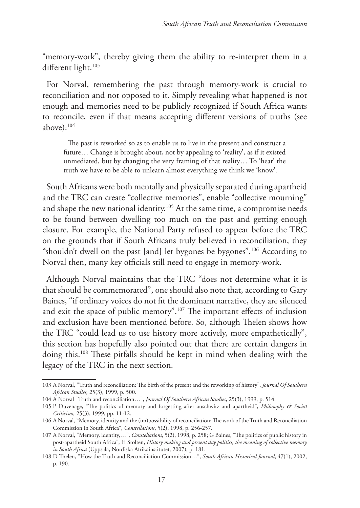"memory-work", thereby giving them the ability to re-interpret them in a different light.<sup>103</sup>

For Norval, remembering the past through memory-work is crucial to reconciliation and not opposed to it. Simply revealing what happened is not enough and memories need to be publicly recognized if South Africa wants to reconcile, even if that means accepting different versions of truths (see above $):$ <sup>104</sup>

The past is reworked so as to enable us to live in the present and construct a future… Change is brought about, not by appealing to 'reality', as if it existed unmediated, but by changing the very framing of that reality… To 'hear' the truth we have to be able to unlearn almost everything we think we 'know'.

South Africans were both mentally and physically separated during apartheid and the TRC can create "collective memories", enable "collective mourning" and shape the new national identity.<sup>105</sup> At the same time, a compromise needs to be found between dwelling too much on the past and getting enough closure. For example, the National Party refused to appear before the TRC on the grounds that if South Africans truly believed in reconciliation, they "shouldn't dwell on the past [and] let bygones be bygones".<sup>106</sup> According to Norval then, many key officials still need to engage in memory-work.

Although Norval maintains that the TRC "does not determine what it is that should be commemorated", one should also note that, according to Gary Baines, "if ordinary voices do not fit the dominant narrative, they are silenced and exit the space of public memory".107 The important effects of inclusion and exclusion have been mentioned before. So, although Thelen shows how the TRC "could lead us to use history more actively, more empathetically", this section has hopefully also pointed out that there are certain dangers in doing this.108 These pitfalls should be kept in mind when dealing with the legacy of the TRC in the next section.

<sup>103</sup> A Norval, "Truth and reconciliation: The birth of the present and the reworking of history", *Journal Of Southern African Studies,* 25(3), 1999, p. 500.

<sup>104</sup> A Norval "Truth and reconciliation…", *Journal Of Southern African Studies*, 25(3), 1999, p. 514.

<sup>105</sup> P Duvenage, "The politics of memory and forgetting after auschwitz and apartheid", *Philosophy & Social Criticism,* 25(3), 1999, pp. 11-12.

<sup>106</sup> A Norval, "Memory, identity and the (im)possibility of reconciliation: The work of the Truth and Reconciliation Commission in South Africa", *Constellations*, 5(2), 1998, p. 256-257.

<sup>107</sup> A Norval, "Memory, identity,…", *Constellations*, 5(2), 1998, p. 258; G Baines, "The politics of public history in post-apartheid South Africa", H Stolten, *History making and present day politics, the meaning of collective memory in South Africa* (Uppsala, Nordiska Afrikainstitutet, 2007), p. 181.

<sup>108</sup> D Thelen, "How the Truth and Reconciliation Commission…", *South African Historical Journal*, 47(1), 2002, p. 190.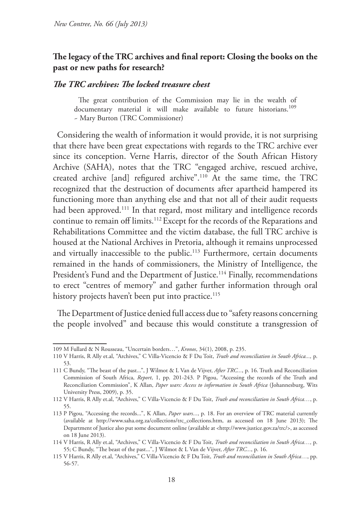## **The legacy of the TRC archives and final report: Closing the books on the past or new paths for research?**

#### *The TRC archives: The locked treasure chest*

The great contribution of the Commission may lie in the wealth of documentary material it will make available to future historians.<sup>109</sup> ~ Mary Burton (TRC Commissioner)

Considering the wealth of information it would provide, it is not surprising that there have been great expectations with regards to the TRC archive ever since its conception. Verne Harris, director of the South African History Archive (SAHA), notes that the TRC "engaged archive, rescued archive, created archive [and] refigured archive".110 At the same time, the TRC recognized that the destruction of documents after apartheid hampered its functioning more than anything else and that not all of their audit requests had been approved.<sup>111</sup> In that regard, most military and intelligence records continue to remain off limits.<sup>112</sup> Except for the records of the Reparations and Rehabilitations Committee and the victim database, the full TRC archive is housed at the National Archives in Pretoria, although it remains unprocessed and virtually inaccessible to the public.<sup>113</sup> Furthermore, certain documents remained in the hands of commissioners, the Ministry of Intelligence, the President's Fund and the Department of Justice.<sup>114</sup> Finally, recommendations to erect "centres of memory" and gather further information through oral history projects haven't been put into practice.<sup>115</sup>

The Department of Justice denied full access due to "safety reasons concerning the people involved" and because this would constitute a transgression of

<sup>109</sup> M Fullard & N Rousseau, "Uncertain borders…", *Kronos*, 34(1), 2008, p. 235.

<sup>110</sup> V Harris, R Ally et.al, "Archives," C Villa-Vicencio & F Du Toit, *Truth and reconciliation in South Africa...,* p. 53.

<sup>111</sup> C Bundy, "The beast of the past...", J Wilmot & L Van de Vijver, *After TRC...*, p. 16. Truth and Reconciliation Commission of South Africa, *Report*, 1, pp. 201-243. P Pigou, "Accessing the records of the Truth and Reconciliation Commission", K Allan, *Paper wars: Access to information in South Africa* (Johannesburg, Wits University Press, 2009), p. 35.

<sup>112</sup> V Harris, R Ally et.al, "Archives," C Villa-Vicencio & F Du Toit, *Truth and reconciliation in South Africa…*, p. 55.

<sup>113</sup> P Pigou, "Accessing the records...", K Allan, *Paper wars...*, p. 18. For an overview of TRC material currently (available at http://www.saha.org.za/collections/trc\_collections.htm, as accessed on 18 June 2013); The Department of Justice also put some document online (available at <http://www.justice.gov.za/trc/>, as accessed on 18 June 2013).

<sup>114</sup> V Harris, R Ally et.al, "Archives," C Villa-Vicencio & F Du Toit, *Truth and reconciliation in South Africa…,* p. 55; C Bundy, "The beast of the past...", J Wilmot & L Van de Vijver, *After TRC...*, p. 16.

<sup>115</sup> V Harris, R Ally et.al, "Archives," C Villa-Vicencio & F Du Toit, *Truth and reconciliation in South Africa…*, pp. 56-57.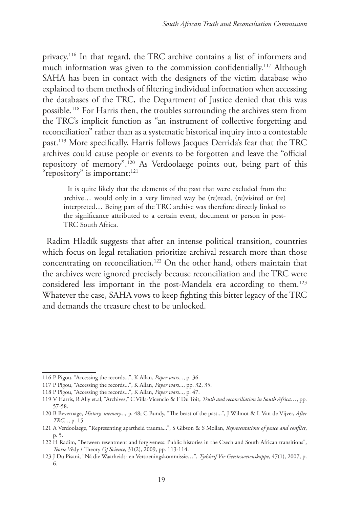privacy.116 In that regard, the TRC archive contains a list of informers and much information was given to the commission confidentially.<sup>117</sup> Although SAHA has been in contact with the designers of the victim database who explained to them methods of filtering individual information when accessing the databases of the TRC, the Department of Justice denied that this was possible.118 For Harris then, the troubles surrounding the archives stem from the TRC's implicit function as "an instrument of collective forgetting and reconciliation" rather than as a systematic historical inquiry into a contestable past.119 More specifically, Harris follows Jacques Derrida's fear that the TRC archives could cause people or events to be forgotten and leave the "official repository of memory".120 As Verdoolaege points out, being part of this "repository" is important:<sup>121</sup>

It is quite likely that the elements of the past that were excluded from the archive… would only in a very limited way be (re)read, (re)visited or (re) interpreted… Being part of the TRC archive was therefore directly linked to the significance attributed to a certain event, document or person in post-TRC South Africa.

Radim Hladík suggests that after an intense political transition, countries which focus on legal retaliation prioritize archival research more than those concentrating on reconciliation.122 On the other hand, others maintain that the archives were ignored precisely because reconciliation and the TRC were considered less important in the post-Mandela era according to them.123 Whatever the case, SAHA vows to keep fighting this bitter legacy of the TRC and demands the treasure chest to be unlocked.

<sup>116</sup> P Pigou, "Accessing the records...", K Allan, *Paper wars...*, p. 36.

<sup>117</sup> P Pigou, "Accessing the records...", K Allan, *Paper wars...*, pp. 32, 35.

<sup>118</sup> P Pigou, "Accessing the records...", K Allan, *Paper wars...*, p. 47.

<sup>119</sup> V Harris, R Ally et.al, "Archives," C Villa-Vicencio & F Du Toit, *Truth and reconciliation in South Africa…*, pp. 57-58.

<sup>120</sup> B Bevernage, *History, memory...,* p. 48; C Bundy, "The beast of the past...", J Wilmot & L Van de Vijver, *After TRC...*, p. 15.

<sup>121</sup> A Verdoolaege, "Representing apartheid trauma...", S Gibson & S Mollan, *Representations of peace and conflict*, p. 5.

<sup>122</sup> H Radim, "Between resentment and forgiveness: Public histories in the Czech and South African transitions", *Teorie V*ědy / Theory *Of Science,* 31(2), 2009, pp. 113-114.

<sup>123</sup> J Du Pisani, "Ná die Waarheids- en Versoeningskommissie…", *Tydskrif Vir Geesteswetenskappe*, 47(1), 2007, p. 6.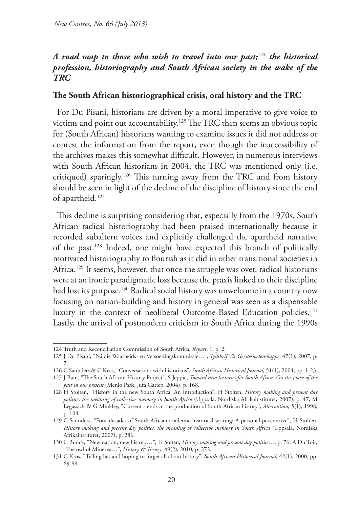# *A road map to those who wish to travel into our past;*<sup>124</sup> *the historical profession, historiography and South African society in the wake of the TRC*

## **The South African historiographical crisis, oral history and the TRC**

For Du Pisani, historians are driven by a moral imperative to give voice to victims and point out accountability.<sup>125</sup> The TRC then seems an obvious topic for (South African) historians wanting to examine issues it did not address or contest the information from the report, even though the inaccessibility of the archives makes this somewhat difficult. However, in numerous interviews with South African historians in 2004, the TRC was mentioned only (i.e. critiqued) sparingly.126 This turning away from the TRC and from history should be seen in light of the decline of the discipline of history since the end of apartheid.<sup>127</sup>

This decline is surprising considering that, especially from the 1970s, South African radical historiography had been praised internationally because it recorded subaltern voices and explicitly challenged the apartheid narrative of the past.128 Indeed, one might have expected this branch of politically motivated historiography to flourish as it did in other transitional societies in Africa.<sup>129</sup> It seems, however, that once the struggle was over, radical historians were at an ironic paradigmatic loss because the praxis linked to their discipline had lost its purpose.<sup>130</sup> Radical social history was unwelcome in a country now focusing on nation-building and history in general was seen as a dispensable luxury in the context of neoliberal Outcome-Based Education policies.<sup>131</sup> Lastly, the arrival of postmodern criticism in South Africa during the 1990s

<sup>124</sup> Truth and Reconciliation Commission of South Africa, *Report*, 1, p. 2.

<sup>125</sup> J Du Pisani, "Ná die Waarheids- en Versoeningskommissie…", *Tydskrif Vir Geesteswetenskappe*, 47(1), 2007, p. 7.

<sup>126</sup> C Saunders & C Kros, "Conversations with historians", *South African Historical Journal,* 51(1), 2004, pp. 1-23.

<sup>127</sup> J Bam, "The South African History Project", S Jeppie, *Toward new histories for South Africa: On the place of the past in our present* (Menlo Park, Juta Gariep, 2004), p. 168.

<sup>128</sup> H Stolten, "History in the new South Africa: An introduction", H Stolten, *History making and present day politics, the meaning of collective memory in South Africa* (Uppsala, Nordiska Afrikainstitutet, 2007), p. 47; M Legassick & G Minkley, "Current trends in the production of South African history", *Alternation,* 5(1), 1998, p. 104.

<sup>129</sup> C Saunders, "Four decades of South African academic historical writing: A personal perspective", H Stolten, *History making and present day politics, the meaning of collective memory in South Africa* (Uppsala, Nordiska Afrikainstitutet, 2007), p. 286.

<sup>130</sup> C Bundy, "New nation, new history…", H Solten, *History making and present day politics…*, p. 76; A Du Toit, "The owl of Minerva…", *History & Theory*, 49(2), 2010, p. 272.

<sup>131</sup> C Kros, "Telling lies and hoping to forget all about history", *South African Historical Journal,* 42(1), 2000, pp. 69-88.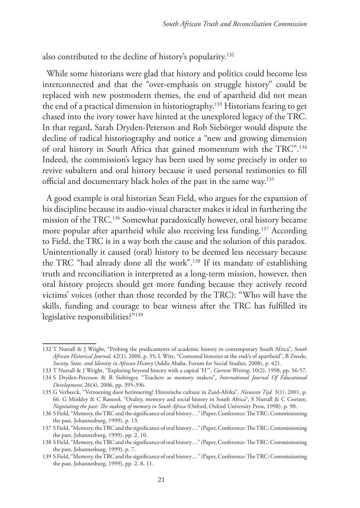also contributed to the decline of history's popularity.132

While some historians were glad that history and politics could become less interconnected and that the "over-emphasis on struggle history" could be replaced with new postmodern themes, the end of apartheid did not mean the end of a practical dimension in historiography.133 Historians fearing to get chased into the ivory tower have hinted at the unexplored legacy of the TRC. In that regard, Sarah Dryden-Peterson and Rob Siebörger would dispute the decline of radical historiography and notice a "new and growing dimension of oral history in South Africa that gained momentum with the TRC".134 Indeed, the commission's legacy has been used by some precisely in order to revive subaltern and oral history because it used personal testimonies to fill official and documentary black holes of the past in the same way.135

A good example is oral historian Sean Field, who argues for the expansion of his discipline because its audio-visual character makes it ideal in furthering the mission of the TRC.136 Somewhat paradoxically however, oral history became more popular after apartheid while also receiving less funding.137 According to Field, the TRC is in a way both the cause and the solution of this paradox. Unintentionally it caused (oral) history to be deemed less necessary because the TRC "had already done all the work".138 If its mandate of establishing truth and reconciliation is interpreted as a long-term mission, however, then oral history projects should get more funding because they actively record victims' voices (other than those recorded by the TRC): "Who will have the skills, funding and courage to bear witness after the TRC has fulfilled its legislative responsibilities?"139

<sup>132</sup> T Nuttall & J Wright, "Probing the predicaments of academic history in contemporary South Africa", *South African Historical Journal,* 42(1), 2000, p. 35; L Witz, "Contested histories at the end/s of apartheid", B Zwede, *Society, State, and Identity in African History* (Addis Ababa, Forum for Social Studies, 2008), p. 421.

<sup>133</sup> T Nuttall & J Wright, "Exploring beyond history with a capital 'H'", *Current Writing,* 10(2), 1998, pp. 56-57.

<sup>134</sup> S Dryden-Peterson & R Siebörger, "Teachers as memory makers", *International Journal Of Educational Development*, 26(4), 2006, pp. 395-396.

<sup>135</sup> G Verbeeck, "Verzoening door herinnering? Historische cultuur in Zuid-Afrika", *Nieuwste Tijd* 3(1), 2001, p. 66. G Minkley & C Rassool, "Orality, memory and social history in South Africa", S Nuttall & C Coetzee, *Negotiating the past: The making of memory in South Africa* (Oxford, Oxford University Press, 1998), p. 90.

<sup>136</sup> S Field, "Memory, the TRC and the significance of oral history…" (Paper, Conference: The TRC: Commissioning the past, Johannesburg, 1999), p. 13.

<sup>137</sup> S Field, "Memory, the TRC and the significance of oral history…" (Paper, Conference: The TRC: Commissioning the past, Johannesburg, 1999), pp. 2, 10.

<sup>138</sup> S Field, "Memory, the TRC and the significance of oral history…" (Paper, Conference: The TRC: Commissioning the past, Johannesburg, 1999), p. 7.

<sup>139</sup> S Field, "Memory, the TRC and the significance of oral history…" (Paper, Conference: The TRC: Commissioning the past, Johannesburg, 1999), pp. 2, 8, 11.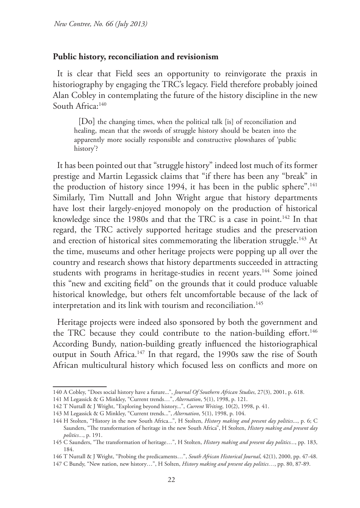#### **Public history, reconciliation and revisionism**

It is clear that Field sees an opportunity to reinvigorate the praxis in historiography by engaging the TRC's legacy. Field therefore probably joined Alan Cobley in contemplating the future of the history discipline in the new South Africa:140

[Do] the changing times, when the political talk [is] of reconciliation and healing, mean that the swords of struggle history should be beaten into the apparently more socially responsible and constructive plowshares of 'public history'?

It has been pointed out that "struggle history" indeed lost much of its former prestige and Martin Legassick claims that "if there has been any "break" in the production of history since 1994, it has been in the public sphere".<sup>141</sup> Similarly, Tim Nuttall and John Wright argue that history departments have lost their largely-enjoyed monopoly on the production of historical knowledge since the 1980s and that the TRC is a case in point.<sup>142</sup> In that regard, the TRC actively supported heritage studies and the preservation and erection of historical sites commemorating the liberation struggle.<sup>143</sup> At the time, museums and other heritage projects were popping up all over the country and research shows that history departments succeeded in attracting students with programs in heritage-studies in recent years.<sup>144</sup> Some joined this "new and exciting field" on the grounds that it could produce valuable historical knowledge, but others felt uncomfortable because of the lack of interpretation and its link with tourism and reconciliation.<sup>145</sup>

Heritage projects were indeed also sponsored by both the government and the TRC because they could contribute to the nation-building effort.<sup>146</sup> According Bundy, nation-building greatly influenced the historiographical output in South Africa.147 In that regard, the 1990s saw the rise of South African multicultural history which focused less on conflicts and more on

<sup>140</sup> A Cobley, "Does social history have a future...", *Journal Of Southern African Studies*, 27(3), 2001, p. 618.

<sup>141</sup> M Legassick & G Minkley, "Current trends…", *Alternation*, 5(1), 1998, p. 121.

<sup>142</sup> T Nuttall & J Wright, "Exploring beyond history...", *Current Writing*, 10(2), 1998, p. 41.

<sup>143</sup> M Legassick & G Minkley, "Current trends...", *Alternation*, 5(1), 1998, p. 104.

<sup>144</sup> H Stolten, "History in the new South Africa...", H Stolten, *History making and present day politics*..., p. 6; C Saunders, "The transformation of heritage in the new South Africa", H Stolten, *History making and present day politics...*, p. 191.

<sup>145</sup> C Saunders, "The transformation of heritage…", H Stolten, *History making and present day politics...*, pp. 183, 184.

<sup>146</sup> T Nuttall & J Wright, "Probing the predicaments…", *South African Historical Journal*, 42(1), 2000, pp. 47-48.

<sup>147</sup> C Bundy, "New nation, new history…", H Solten, *History making and present day politics…*, pp. 80, 87-89.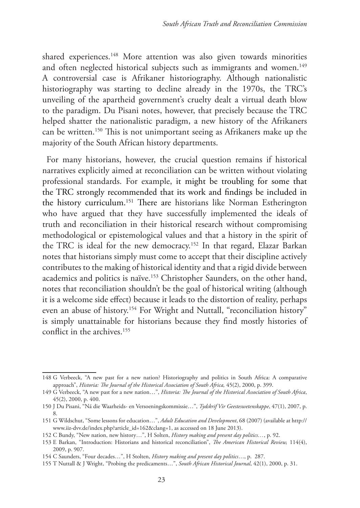shared experiences.<sup>148</sup> More attention was also given towards minorities and often neglected historical subjects such as immigrants and women.<sup>149</sup> A controversial case is Afrikaner historiography. Although nationalistic historiography was starting to decline already in the 1970s, the TRC's unveiling of the apartheid government's cruelty dealt a virtual death blow to the paradigm. Du Pisani notes, however, that precisely because the TRC helped shatter the nationalistic paradigm, a new history of the Afrikaners can be written.150 This is not unimportant seeing as Afrikaners make up the majority of the South African history departments.

For many historians, however, the crucial question remains if historical narratives explicitly aimed at reconciliation can be written without violating professional standards. For example, it might be troubling for some that the TRC strongly recommended that its work and findings be included in the history curriculum.151 There are historians like Norman Estherington who have argued that they have successfully implemented the ideals of truth and reconciliation in their historical research without compromising methodological or epistemological values and that a history in the spirit of the TRC is ideal for the new democracy.<sup>152</sup> In that regard, Elazar Barkan notes that historians simply must come to accept that their discipline actively contributes to the making of historical identity and that a rigid divide between academics and politics is naïve.153 Christopher Saunders, on the other hand, notes that reconciliation shouldn't be the goal of historical writing (although it is a welcome side effect) because it leads to the distortion of reality, perhaps even an abuse of history.<sup>154</sup> For Wright and Nuttall, "reconciliation history" is simply unattainable for historians because they find mostly histories of conflict in the archives.155

<sup>148</sup> G Verbeeck, "A new past for a new nation? Historiography and politics in South Africa: A comparative approach", *Historia: The Journal of the Historical Association of South Africa,* 45(2), 2000, p. 399.

<sup>149</sup> G Verbeeck, "A new past for a new nation…", *Historia: The Journal of the Historical Association of South Africa*, 45(2), 2000, p. 400.

<sup>150</sup> J Du Pisani, "Ná die Waarheids- en Versoeningskommissie…", *Tydskrif Vir Geesteswetenskappe*, 47(1), 2007, p. 8.

<sup>151</sup> G Wildschut, "Some lessons for education…", *Adult Education and Development*, 68 (2007) (available at http:// www.iiz-dvv.de/index.php?article\_id=162&clang=1, as accessed on 18 June 2013).

<sup>152</sup> C Bundy, "New nation, new history…", H Solten, *History making and present day politics…*, p. 92.

<sup>153</sup> E Barkan, "Introduction: Historians and historical reconciliation", *The American Historical Review,* 114(4), 2009, p. 907.

<sup>154</sup> C Saunders, "Four decades…", H Stolten, *History making and present day politics*…, p. 287.

<sup>155</sup> T Nuttall & J Wright, "Probing the predicaments…", *South African Historical Journal*, 42(1), 2000, p. 31.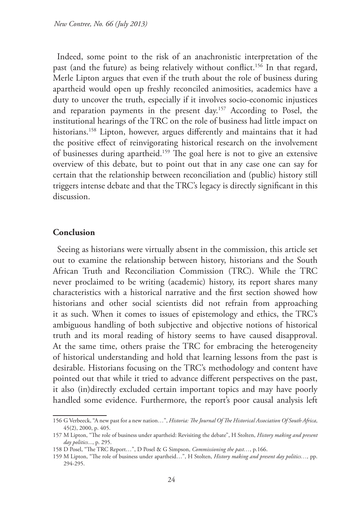Indeed, some point to the risk of an anachronistic interpretation of the past (and the future) as being relatively without conflict.<sup>156</sup> In that regard, Merle Lipton argues that even if the truth about the role of business during apartheid would open up freshly reconciled animosities, academics have a duty to uncover the truth, especially if it involves socio-economic injustices and reparation payments in the present day.157 According to Posel, the institutional hearings of the TRC on the role of business had little impact on historians.<sup>158</sup> Lipton, however, argues differently and maintains that it had the positive effect of reinvigorating historical research on the involvement of businesses during apartheid.159 The goal here is not to give an extensive overview of this debate, but to point out that in any case one can say for certain that the relationship between reconciliation and (public) history still triggers intense debate and that the TRC's legacy is directly significant in this discussion.

#### **Conclusion**

Seeing as historians were virtually absent in the commission, this article set out to examine the relationship between history, historians and the South African Truth and Reconciliation Commission (TRC). While the TRC never proclaimed to be writing (academic) history, its report shares many characteristics with a historical narrative and the first section showed how historians and other social scientists did not refrain from approaching it as such. When it comes to issues of epistemology and ethics, the TRC's ambiguous handling of both subjective and objective notions of historical truth and its moral reading of history seems to have caused disapproval. At the same time, others praise the TRC for embracing the heterogeneity of historical understanding and hold that learning lessons from the past is desirable. Historians focusing on the TRC's methodology and content have pointed out that while it tried to advance different perspectives on the past, it also (in)directly excluded certain important topics and may have poorly handled some evidence. Furthermore, the report's poor causal analysis left

<sup>156</sup> G Verbeeck, "A new past for a new nation…", *Historia: The Journal Of The Historical Association Of South Africa*, 45(2), 2000, p. 405.

<sup>157</sup> M Lipton, "The role of business under apartheid: Revisiting the debate", H Stolten, *History making and present day politics...*, p. 295.

<sup>158</sup> D Posel, "The TRC Report…", D Posel & G Simpson, *Commissioning the past…*, p.166.

<sup>159</sup> M Lipton, "The role of business under apartheid…", H Stolten, *History making and present day politics…,* pp. 294-295.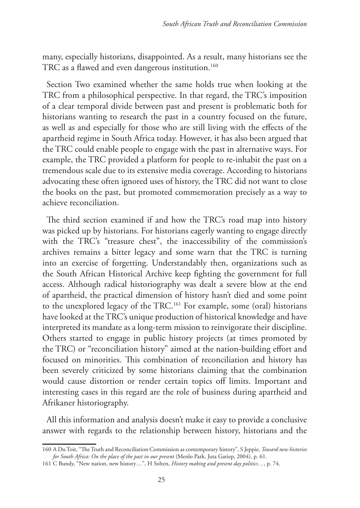many, especially historians, disappointed. As a result, many historians see the TRC as a flawed and even dangerous institution.<sup>160</sup>

Section Two examined whether the same holds true when looking at the TRC from a philosophical perspective. In that regard, the TRC's imposition of a clear temporal divide between past and present is problematic both for historians wanting to research the past in a country focused on the future, as well as and especially for those who are still living with the effects of the apartheid regime in South Africa today. However, it has also been argued that the TRC could enable people to engage with the past in alternative ways. For example, the TRC provided a platform for people to re-inhabit the past on a tremendous scale due to its extensive media coverage. According to historians advocating these often ignored uses of history, the TRC did not want to close the books on the past, but promoted commemoration precisely as a way to achieve reconciliation.

The third section examined if and how the TRC's road map into history was picked up by historians. For historians eagerly wanting to engage directly with the TRC's "treasure chest", the inaccessibility of the commission's archives remains a bitter legacy and some warn that the TRC is turning into an exercise of forgetting. Understandably then, organizations such as the South African Historical Archive keep fighting the government for full access. Although radical historiography was dealt a severe blow at the end of apartheid, the practical dimension of history hasn't died and some point to the unexplored legacy of the TRC.161 For example, some (oral) historians have looked at the TRC's unique production of historical knowledge and have interpreted its mandate as a long-term mission to reinvigorate their discipline. Others started to engage in public history projects (at times promoted by the TRC) or "reconciliation history" aimed at the nation-building effort and focused on minorities. This combination of reconciliation and history has been severely criticized by some historians claiming that the combination would cause distortion or render certain topics off limits. Important and interesting cases in this regard are the role of business during apartheid and Afrikaner historiography.

All this information and analysis doesn't make it easy to provide a conclusive answer with regards to the relationship between history, historians and the

<sup>160</sup> A Du Toit, "The Truth and Reconciliation Commission as contemporary history", S Jeppie, *Toward new histories for South Africa: On the place of the past in our present* (Menlo Park, Juta Gariep, 2004), p. 61.

<sup>161</sup> C Bundy, "New nation, new history…", H Solten, *History making and present day politics…*, p. 74.